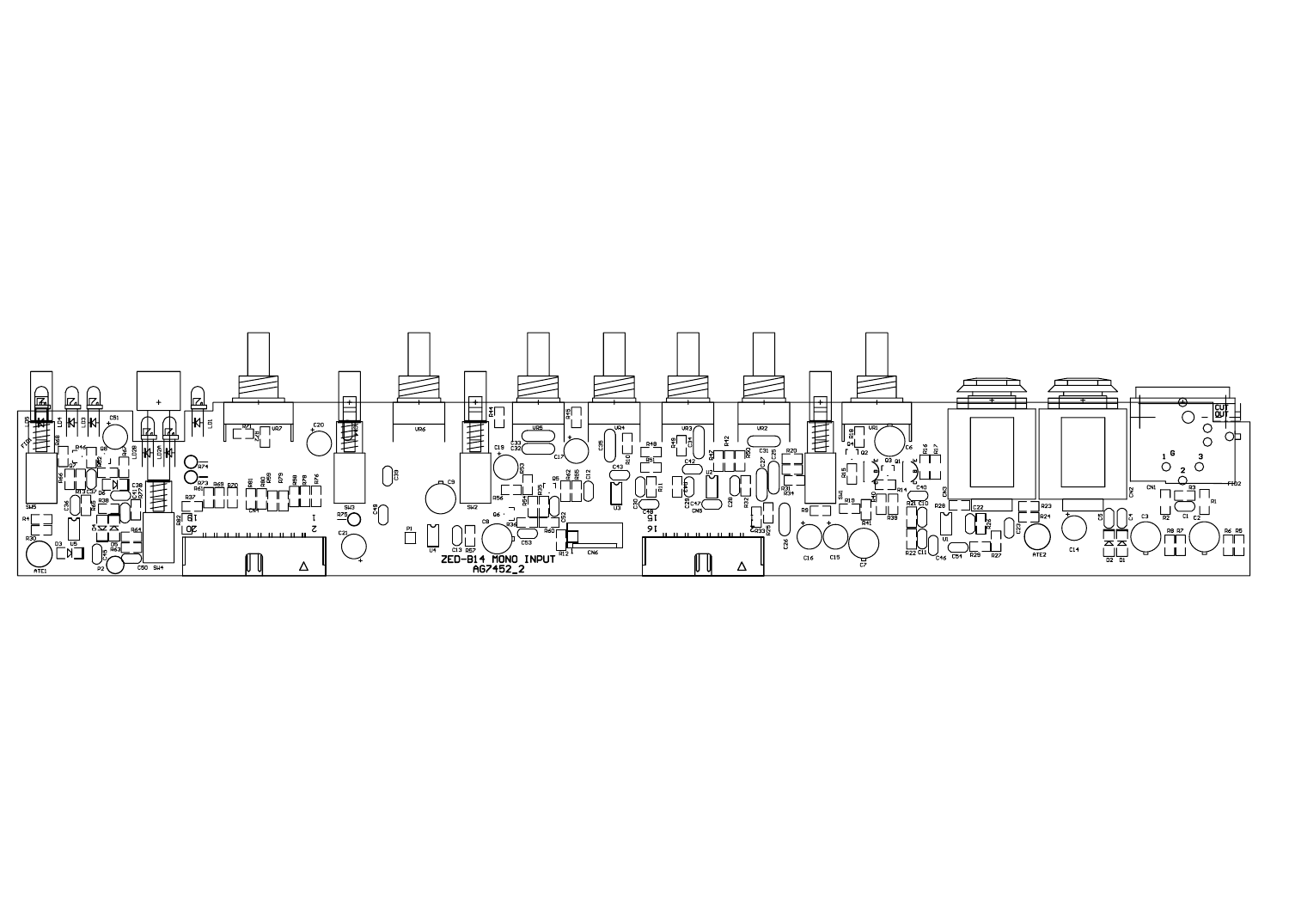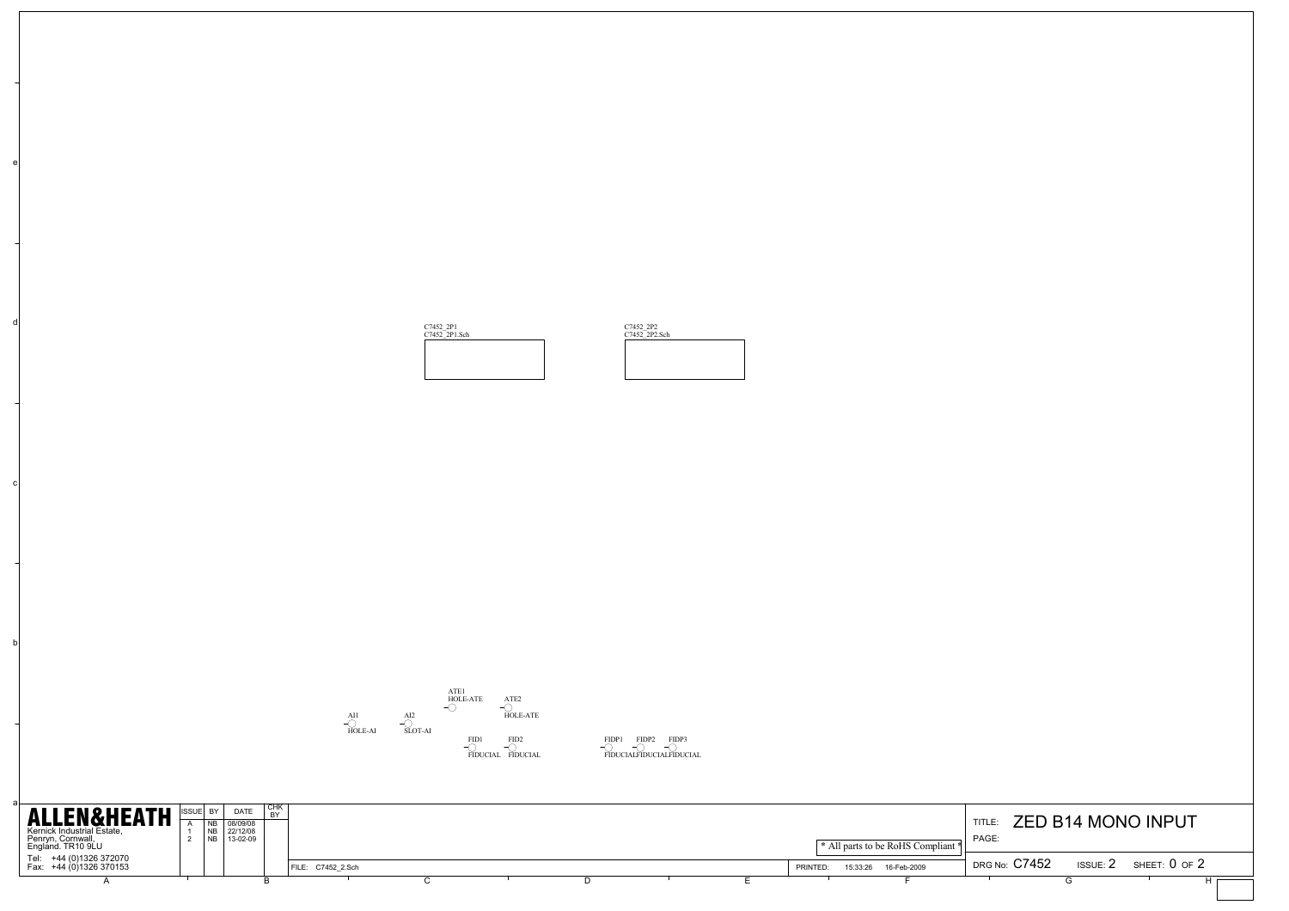\n**ALLEMSELEATH** 
$$
\begin{array}{r}\n \text{SVD} \\
\text{SVD} \\
\text{SVD} \\
\text{SVD} \\
\text{SVD} \\
\text{SVD} \\
\text{SVD} \\
\text{SVD} \\
\text{SVD} \\
\text{SVD} \\
\text{SVD} \\
\text{SVD} \\
\text{SVD} \\
\text{SVD} \\
\text{SVD} \\
\text{SVD} \\
\text{SVD} \\
\text{SVD} \\
\text{SVD} \\
\text{SVD} \\
\text{SVD} \\
\text{SVD} \\
\text{SVD} \\
\text{SVD} \\
\text{SVD} \\
\text{SVD} \\
\text{SVD} \\
\text{SVD} \\
\text{SVD} \\
\text{SVD} \\
\text{SVD} \\
\text{SVD} \\
\text{SVD} \\
\text{SVD} \\
\text{SVD} \\
\text{SVD} \\
\text{SVD} \\
\text{SVD} \\
\text{SVD} \\
\text{SVD} \\
\text{SVD} \\
\text{SVD} \\
\text{SVD} \\
\text{SVD} \\
\text{SVD} \\
\text{SVD} \\
\text{SVD} \\
\text{SVD} \\
\text{SVD} \\
\text{SVD} \\
\text{SVD} \\
\text{SVD} \\
\text{SVD} \\
\text{SVD} \\
\text{SVD} \\
\text{SVD} \\
\text{SVD} \\
\text{SVD} \\
\text{SVD} \\
\text{SVD} \\
\text{SVD} \\
\text{SVD} \\
\text{SVD} \\
\text{SVD} \\
\text{SVD} \\
\text{SVD} \\
\text{SVD} \\
\text{SVD} \\
\text{SVD} \\
\text{SVD} \\
\text{SVD} \\
\text{SVD} \\
\text{SVD} \\
\text{SVD} \\
\text{SVD} \\
\text{SVD} \\
\text{SVD} \\
\text{SVD} \\
\text{SVD} \\
\text{SVD} \\
\text{SVD} \\
\text{SVD} \\
\text{SVD} \\
\text{SVD} \\
\text{SVD} \\
\text{SVD} \\
\text{SVD} \\
\text{SVD} \\
\text{SVD} \\
\text{SVD} \\
\text{SVD} \\
\text{SVD} \\
\text{SVD} \\
\text{SVD} \\
\text{SVD} \\
\text{SVD} \\
\text{SVD} \\
\text{SVD} \\
\text{SVD} \\
\text{SVD} \\
\text{SVD} \\
\text{SVD} \\
\text{SVD} \\
\text{SVD} \\
\text{SVD} \\
\text{SVD
$$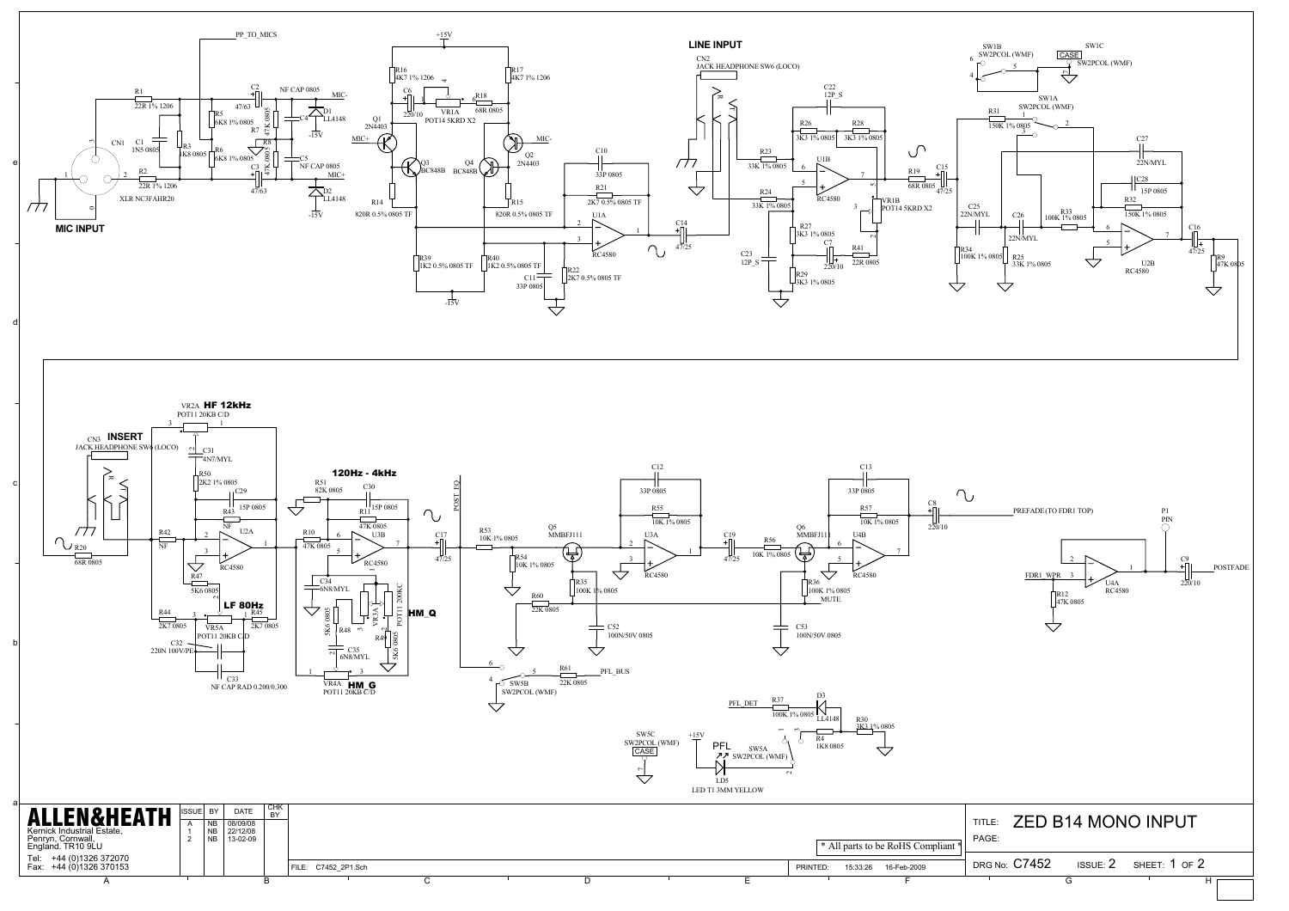